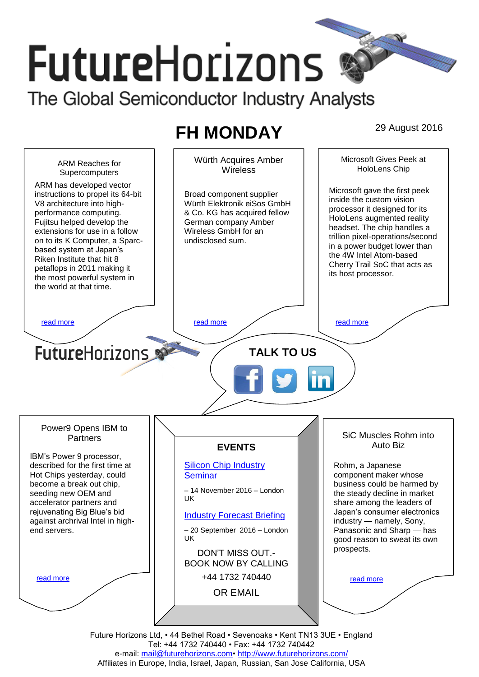# **FutureHorizons** The Global Semiconductor Industry Analysts

# **FH MONDAY** 29 August 2016



Tel: +44 1732 740440 • Fax: +44 1732 740442 e-mail: mail@futurehorizons.com• http://www.futurehorizons.com/ Affiliates in Europe, India, Israel, Japan, Russian, San Jose California, USA